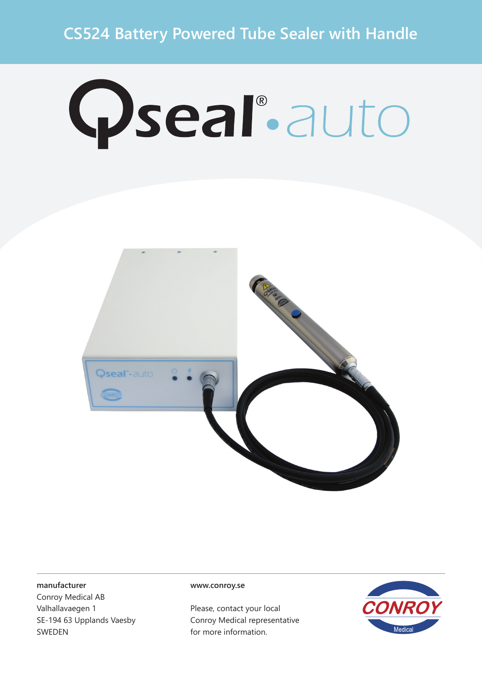## **CS524 Battery Powered Tube Sealer with Handle**

# Qseal°auto



#### **manufacturer**

Conroy Medical AB Valhallavaegen 1 SE-194 63 Upplands Vaesby SWEDEN

#### **www.conroy.se**

Please, contact your local Conroy Medical representative for more information.